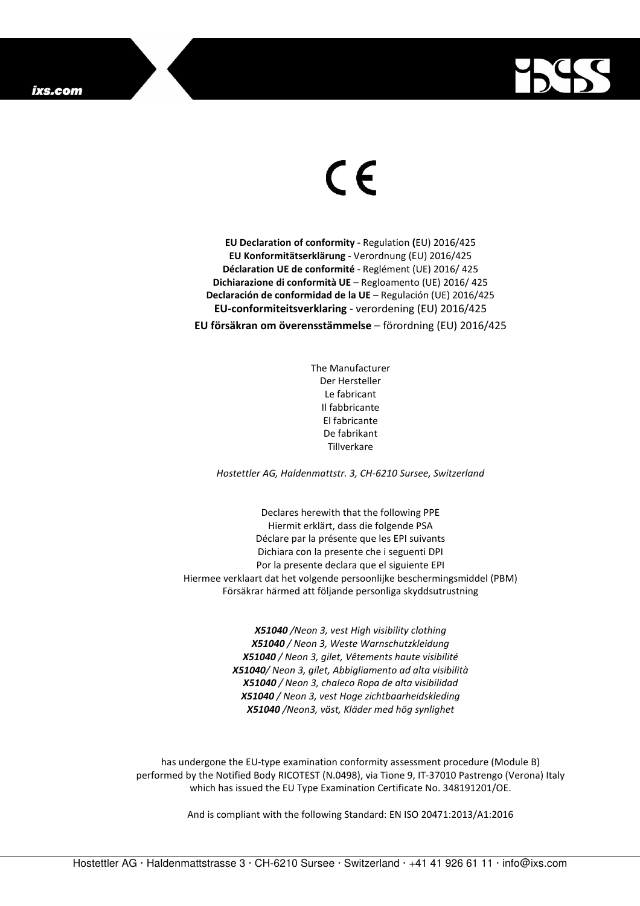

## $\in$

**EU Declaration of conformity -** Regulation **(**EU) 2016/425 **EU Konformitätserklärung** - Verordnung (EU) 2016/425 **Déclaration UE de conformité** - Reglément (UE) 2016/ 425 **Dichiarazione di conformità UE** – Regloamento (UE) 2016/ 425 **Declaración de conformidad de la UE** – Regulación (UE) 2016/425 **EU-conformiteitsverklaring** - verordening (EU) 2016/425 **EU försäkran om överensstämmelse** – förordning (EU) 2016/425

> The Manufacturer Der Hersteller Le fabricant Il fabbricante El fabricante De fabrikant **Tillverkare**

*Hostettler AG, Haldenmattstr. 3, CH-6210 Sursee, Switzerland* 

Declares herewith that the following PPE Hiermit erklärt, dass die folgende PSA Déclare par la présente que les EPI suivants Dichiara con la presente che i seguenti DPI Por la presente declara que el siguiente EPI Hiermee verklaart dat het volgende persoonlijke beschermingsmiddel (PBM) Försäkrar härmed att följande personliga skyddsutrustning

> *X51040 /Neon 3, vest High visibility clothing X51040 / Neon 3, Weste Warnschutzkleidung X51040 / Neon 3, gilet, Vêtements haute visibilité X51040/ Neon 3, gilet, Abbigliamento ad alta visibilità X51040 / Neon 3, chaleco Ropa de alta visibilidad X51040 / Neon 3, vest Hoge zichtbaarheidskleding X51040 /Neon3, väst, Kläder med hög synlighet*

has undergone the EU-type examination conformity assessment procedure (Module B) performed by the Notified Body RICOTEST (N.0498), via Tione 9, IT-37010 Pastrengo (Verona) Italy which has issued the EU Type Examination Certificate No. 348191201/OE.

And is compliant with the following Standard: EN ISO 20471:2013/A1:2016